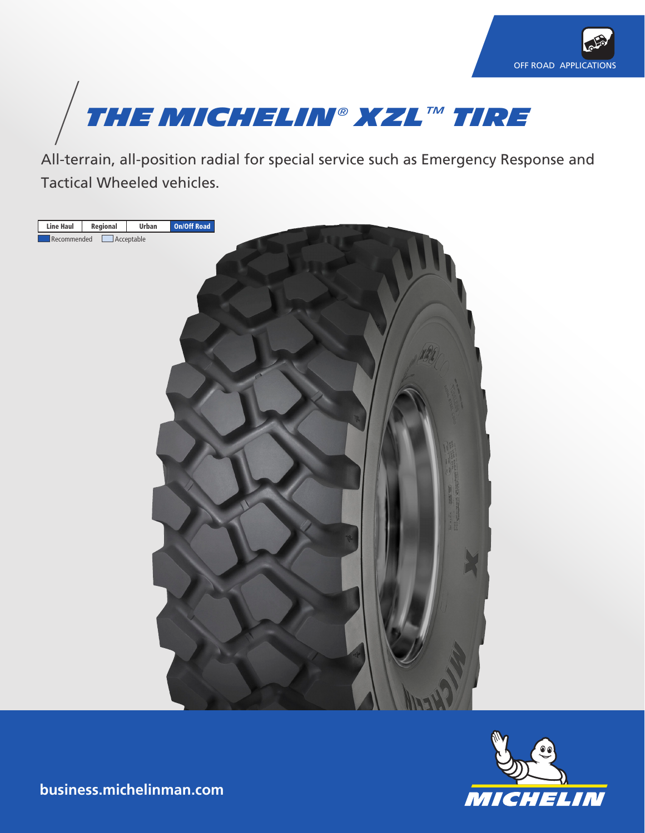



All-terrain, all-position radial for special service such as Emergency Response and Tactical Wheeled vehicles.





**business.michelinman.com**